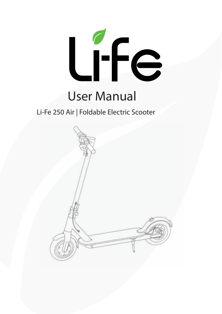

# User Manual

## Li-Fe 250 Air | Foldable Electric Scooter

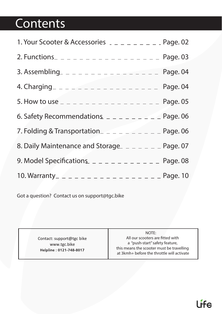# **Contents**

| 1. Your Scooter & Accessories $2 - 2 - 2 - 2 = 2$ Page. 02                          |  |
|-------------------------------------------------------------------------------------|--|
|                                                                                     |  |
| 3. Assembling_ _ _ _ _ _ _ _ _ _ _ _ _ _ _ _ _ _ Page. 04                           |  |
|                                                                                     |  |
|                                                                                     |  |
| 6. Safety Recommendations $\Box$ $\Box$ $\Box$ $\Box$ $\Box$ $\Box$ $\Box$ Page. 06 |  |
| 7. Folding & Transportation_ $-$ - - - - - - - - - Page. 06                         |  |
| 8. Daily Maintenance and Storage_ _ _ _ _ _ _ _ Page. 07                            |  |
|                                                                                     |  |
|                                                                                     |  |

**Got a question? Contact us on support@tgc.bike**

Contact: support@tgc bike www.tgc.bike Helpline: 0121-748-8017

**NOTE:** 

All our scooters are fitted with **a "push-start" safety feature, this means the scooter must be travelling at 3kmh+ before the throttle will activate**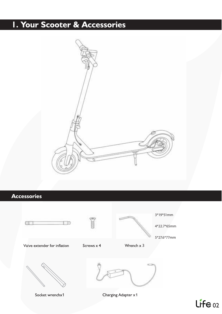# I. Your Scooter & Accessories



### **Accessories**



 $L_f^f \in 02$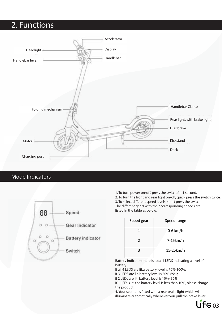# **2. Functions**



### **Mode Indicators**



1. To turn power on/off, press the switch for 1 second.

2. To turn the front and rear light on/off, quick press the switch twice. 3. To select different speed levels, short press the switch. The different gears with their corresponding speeds are listed in the table as below:

| Speed gear | Speed range |
|------------|-------------|
|            | $0-6$ km/h  |
|            | 7-15km/h    |
|            | 15-25km/h   |

Battery indicator: there is total 4 LEDS indicating a level of battery.

If all 4 LEDS are lit,a battery level is 70%-100%;

if 3 LEDS are lit, battery level is 50%-69%;

if 2 LEDs are lit, battery level is 10%- 30%.

If 1 LED is lit, the battery level is less than 10%, please charge the product.

**4.** Your scooter is tted with a rear brake light which will illuminate automatically whenever you pull the brake lever.

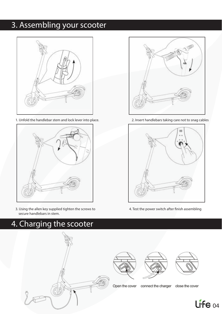# **3. Assembling your scooter**



**1.** Unfold the handlebar stem and lock lever into place.



**3.** Using the allen key supplied tighten the screws to secure handlebars in stem.

# **4. Charging the scooter**



Open the cover

connect the charger close the cover



**2.** Insert handlebars taking care not to snag cables



4. Test the power switch after finish assembling

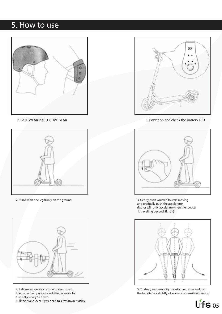### **5. How to use**







**4.** Release accelerator button to slow down. Energy recovery systems will then operate to also help slow you down. Pull the brake lever if you need to slow down quickly.



PLEASE WEAR PROTECTIVE GEAR 1. Power on and check the battery LED



**2.** Stand with one leg rmly on the ground **3.** Gently push yourself to start moving and gradually push the accelerator. (Motor will only accelerate when the scooter is travelling beyond 3km/h)



**5.** To steer, lean very slightly into the corner and turn the handlebars slightly – be aware of sensitive steering.

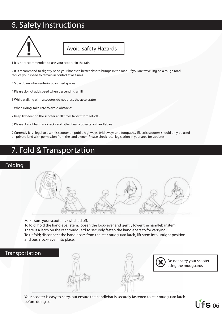## **6. Safety Instructions**



### **Avoid safety Hazards**

**1** It is not recommended to use your scooter in the rain

**2** It is recommend to slightly bend your knees to better absorb bumps in the road. If you are travelling on a rough road reduce your speed to remain in control at all times

**3 Slow down when entering confined spaces** 

**4** Please do not add speed when descending a hill

**5** While walking with a scooter, do not press the accelerator

**6** When riding, take care to avoid obstacles

7 Keep two feet on the scooter at all times (apart from set-off)

**8** Please do not hang rucksacks and other heavy objects on handlebars

**9** Currently it is illegal to use this scooter on public highways, bridleways and footpaths. Electric scooters should only be used on private land with permission from the land owner. Please check local legislation in your area for updates

### **7. Fold & Transportation**

### **Folding**



Make sure your scooter is switched off. To fold; hold the handlebar stem, loosen the lock-lever and gently lower the handlebar stem. There is a latch on the rear mudguard to securely fasten the handlebars to for carrying. To unfold; disconnect the handlebars from the rear mudguard latch, lift stem into upright position and push lock-lever into place.

### **Transportation**





**Do not carry your scooter using the mudguards**

Your scooter is easy to carry, but ensure the handlebar is securely fastened to rear mudguard latch before doing so

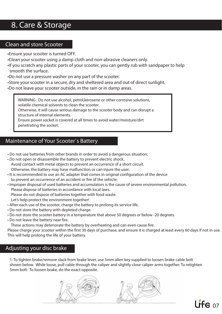# **8. Care & Storage**

### **Clean and store Scooter**

- •Ensure your scooter is turned OFF.
- •Clean your scooter using a damp cloth and non-abrasive cleaners only.
- •If you scratch any plastic parts of your scooter, you can gently rub with sandpaper to help smooth the surface.
- •**Do not** use a pressure washer on any part of the scooter.
- •Store your scooter in a secure, dry and sheltered area and out of direct sunlight.
- •**Do not** leave your scooter outside, in the rain or in damp areas.

**WARNING : Do not use alcohol, petrol,kerosene or other corrosive solutions, volatile chemical solvents to clean the scooter.** 

**Otherwise, it will cause serious damage to the scooter body and can disrupt a structure of internal elements.** 

**Ensure power socket is covered at all times to avoid water/moisture/dirt penetrating the socket.**

### **Maintenance of Your Scooter`s Battery**

- **Do not** use batteries from other brands in order to avoid a dangerous situation;
- **Do not** open or disassemble the battery to prevent electric shock. Avoid contact with metal objects to prevent an occurrence of a short circuit. Otherwise, the battery may have malfunction or can injure the user;
- It is recommended to use an AC adapter that comes in original configuration of the device to prevent an occurrence of an accident or fire of the vehicle;
- Improper disposal of used batteries and accumulators is the cause of severe environmental pollution. Please dispose of batteries in accordance with local laws. Please do not dispose of batteries together with food waste. Let's help protect the environment together!
- After each use of the scooter, charge the battery to prolong its service life.
- **Do not** store the battery with depleted charge.
- **Do not** store the scooter battery in a temperature that above 50 degrees or below -20 degrees.
- **Do not** leave the battery near fire.

These actions may deteriorate the battery by overheating and can even cause fire.

Please charge your scooter within the first 30 days of purchase, and ensure it is charged at least every 60 days if not in use. This will help prolong the life of your battery.

### **Adjusting your disc brake**

1: To tighten brake/remove slack from brake lever, use 5mm allen key supplied to loosen brake cable bolt shown below. While loose, pull cable through the caliper and slightly close caliper arms together. To retighten 5mm bolt. To loosen brake, do the exact opposite.



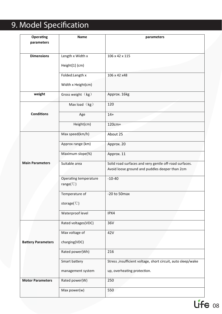# **9. Model Specification**

| Operating                 | Name                                            | parameters                                                                                               |
|---------------------------|-------------------------------------------------|----------------------------------------------------------------------------------------------------------|
| parameters                |                                                 |                                                                                                          |
| <b>Dimensions</b>         | Length x Width x                                | 106 x 42 x 115                                                                                           |
|                           | Height[1] (cm)                                  |                                                                                                          |
|                           | Folded: Length x                                | 106 x 42 x 48                                                                                            |
|                           | Width x Height(cm)                              |                                                                                                          |
| weight                    | Gross weight $(kg)$                             | Approx. 16kg                                                                                             |
|                           | Max load (kg)                                   | 120                                                                                                      |
| <b>Conditions</b>         | Age                                             | $14+$                                                                                                    |
|                           | Height(cm)                                      | $120cm+$                                                                                                 |
|                           | Max speed(km/h)                                 | About 25                                                                                                 |
|                           | Approx range (km)                               | Approx. 20                                                                                               |
|                           | Maximum slope(%)                                | Approx. 11                                                                                               |
| <b>Main Parameters</b>    | Suitable area                                   | Solid road surfaces and very gentle off-road surfaces.<br>Avoid loose ground and puddles deeper than 2cm |
|                           | Operating temperature<br>range( $\mathcal{C}$ ) | $-10-40$                                                                                                 |
|                           | Temperature of                                  | $-20$ to 50 max                                                                                          |
|                           | storage( $\mathcal{C}$ )                        |                                                                                                          |
|                           | Waterproof level                                | IPX4                                                                                                     |
|                           | Rated voltages(VDC)                             | 36V                                                                                                      |
|                           | Max voltage of                                  | 42V                                                                                                      |
| <b>Battery Parameters</b> | charging(VDC)                                   |                                                                                                          |
|                           | Rated power(Wh)                                 | 216                                                                                                      |
|                           | Smart battery                                   | Stress , insufficient voltage, short circuit, auto sleep/wake                                            |
|                           | management system                               | up, overheating protection.                                                                              |
| <b>Motor Parameters</b>   | Rated power(W)                                  | 250                                                                                                      |
|                           | Max power(w)                                    | 550                                                                                                      |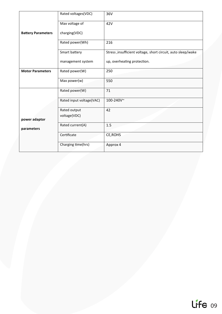|                           | Rated voltages(VDC)          | 36V                                                          |
|---------------------------|------------------------------|--------------------------------------------------------------|
|                           | Max voltage of               | 42V                                                          |
| <b>Battery Parameters</b> | charging(VDC)                |                                                              |
|                           | Rated power(Wh)              | 216                                                          |
|                           | Smart battery                | Stress, insufficient voltage, short circuit, auto sleep/wake |
|                           | management system            | up, overheating protection.                                  |
| <b>Motor Parameters</b>   | Rated power(W)               | 250                                                          |
|                           | Max power(w)                 | 550                                                          |
|                           | Rated power(W)               | 71                                                           |
|                           | Rated input voltage(VAC)     | 100-240V~                                                    |
| power adaptor             | Rated output<br>voltage(VDC) | 42                                                           |
| parameters                | Rated current(A)             | 1.5                                                          |
|                           | Certificate                  | CE, ROHS                                                     |
|                           | Charging time(hrs)           | Approx 4                                                     |

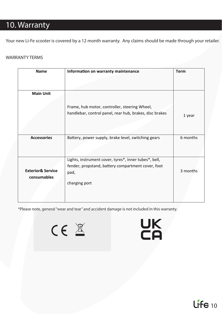# **10. Warranty**

Your new Li-Fe scooter is covered by a 12 month warranty. Any claims should be made through your retailer.

#### **WARRANTY TERMS**

| <b>Name</b>                                 | Information on warranty maintenance                                                                                                  | <b>Term</b> |
|---------------------------------------------|--------------------------------------------------------------------------------------------------------------------------------------|-------------|
|                                             |                                                                                                                                      |             |
| <b>Main Unit</b>                            |                                                                                                                                      |             |
|                                             | Frame, hub motor, controller, steering Wheel,<br>handlebar, control panel, rear hub, brakes, disc brakes                             | 1 year      |
| <b>Accessories</b>                          | Battery, power supply, brake level, switching gears                                                                                  | 6 months    |
| <b>Exterior&amp; Service</b><br>consumables | Lights, instrument cover, tyres*, inner tubes*, bell,<br>fender, propstand, battery compartment cover, foot<br>pad,<br>charging port | 3 months    |

**\*Please note, general "wear and tear" and accident damage is not included in this warranty.**